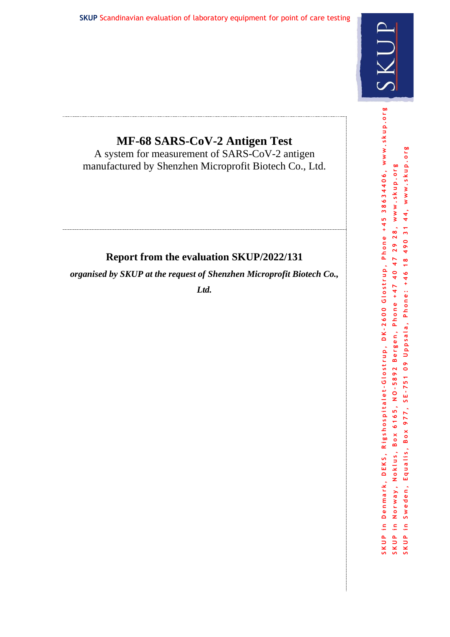

# **MF-68 SARS-CoV-2 Antigen Test**

A system for measurement of SARS-CoV-2 antigen manufactured by Shenzhen Microprofit Biotech Co., Ltd.

# **Report from the evaluation SKUP/2022/131**

*organised by SKUP at the request of Shenzhen Microprofit Biotech Co.,* 

*Ltd.*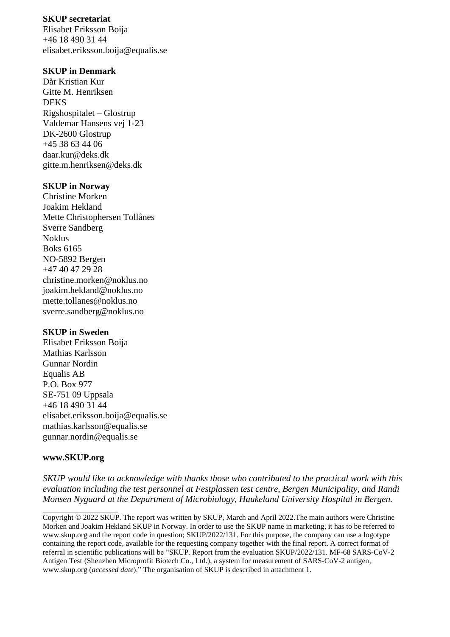#### **SKUP secretariat**

Elisabet Eriksson Boija +46 18 490 31 44 elisabet.eriksson.boija@equalis.se

#### **SKUP in Denmark**

Dår Kristian Kur Gitte M. Henriksen DEKS Rigshospitalet – Glostrup Valdemar Hansens vej 1-23 DK-2600 Glostrup +45 38 63 44 06 daar.kur@deks.dk gitte.m.henriksen@deks.dk

#### **SKUP in Norway**

Christine Morken Joakim Hekland Mette Christophersen Tollånes Sverre Sandberg Noklus Boks 6165 NO-5892 Bergen +47 40 47 29 28 christine.morken@noklus.no joakim.hekland@noklus.no mette.tollanes@noklus.no sverre.sandberg@noklus.no

#### **SKUP in Sweden**

Elisabet Eriksson Boija Mathias Karlsson Gunnar Nordin Equalis AB P.O. Box 977 SE-751 09 Uppsala +46 18 490 31 44 elisabet.eriksson.boija@equalis.se mathias.karlsson@equalis.se [gunnar.nordin@equalis.se](mailto:gunnar.nordin@equalis.se)

#### **www.SKUP.org**

\_\_\_\_\_\_\_\_\_\_\_\_\_\_\_\_\_\_\_\_

*SKUP would like to acknowledge with thanks those who contributed to the practical work with this evaluation including the test personnel at Festplassen test centre, Bergen Municipality, and Randi Monsen Nygaard at the Department of Microbiology, Haukeland University Hospital in Bergen.*

Copyright © 2022 SKUP. The report was written by SKUP, March and April 2022.The main authors were Christine Morken and Joakim Hekland SKUP in Norway. In order to use the SKUP name in marketing, it has to be referred to www.skup.org and the report code in question; SKUP/2022/131. For this purpose, the company can use a logotype containing the report code, available for the requesting company together with the final report. A correct format of referral in scientific publications will be "SKUP. Report from the evaluation SKUP/2022/131. MF-68 SARS-CoV-2 Antigen Test (Shenzhen Microprofit Biotech Co., Ltd.), a system for measurement of SARS-CoV-2 antigen, www.skup.org (*accessed date*)." The organisation of SKUP is described in attachment 1.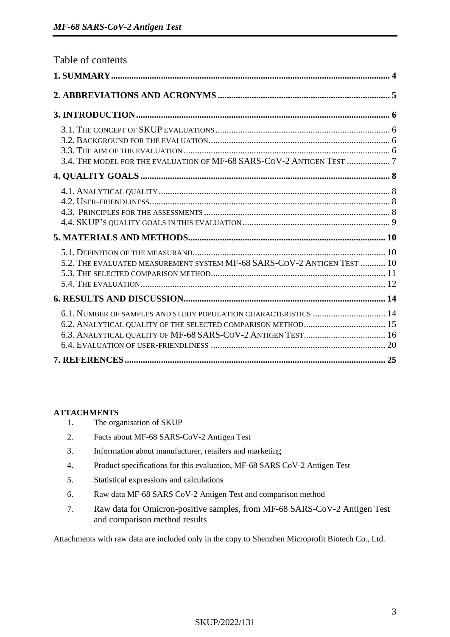| Table of contents                                                       |  |
|-------------------------------------------------------------------------|--|
|                                                                         |  |
|                                                                         |  |
|                                                                         |  |
| 3.4. THE MODEL FOR THE EVALUATION OF MF-68 SARS-COV-2 ANTIGEN TEST  7   |  |
|                                                                         |  |
|                                                                         |  |
|                                                                         |  |
| 5.2. THE EVALUATED MEASUREMENT SYSTEM MF-68 SARS-COV-2 ANTIGEN TEST  10 |  |
|                                                                         |  |
| 6.1. NUMBER OF SAMPLES AND STUDY POPULATION CHARACTERISTICS  14         |  |
|                                                                         |  |

#### **ATTACHMENTS**

- 1. The organisation of SKUP
- 2. Facts about MF-68 SARS-CoV-2 Antigen Test
- 3. Information about manufacturer, retailers and marketing
- 4. Product specifications for this evaluation, MF-68 SARS CoV-2 Antigen Test
- 5. Statistical expressions and calculations
- 6. Raw data MF-68 SARS CoV-2 Antigen Test and comparison method
- 7. Raw data for Omicron-positive samples, from MF-68 SARS-CoV-2 Antigen Test and comparison method results

Attachments with raw data are included only in the copy to Shenzhen Microprofit Biotech Co., Ltd.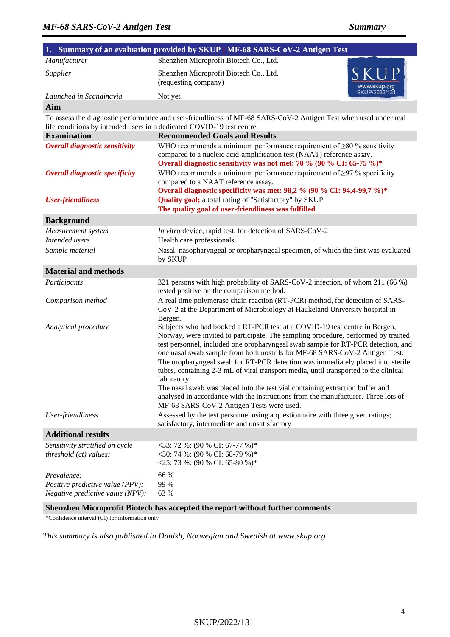|                                                                                     | 1. Summary of an evaluation provided by SKUP   MF-68 SARS-CoV-2 Antigen Test                                                                                                                                                                                                                                                                                                                                                                                                                                                                                                                                                                                                                                                                    |
|-------------------------------------------------------------------------------------|-------------------------------------------------------------------------------------------------------------------------------------------------------------------------------------------------------------------------------------------------------------------------------------------------------------------------------------------------------------------------------------------------------------------------------------------------------------------------------------------------------------------------------------------------------------------------------------------------------------------------------------------------------------------------------------------------------------------------------------------------|
| Manufacturer                                                                        | Shenzhen Microprofit Biotech Co., Ltd.                                                                                                                                                                                                                                                                                                                                                                                                                                                                                                                                                                                                                                                                                                          |
| Supplier                                                                            | Shenzhen Microprofit Biotech Co., Ltd.<br>(requesting company)<br>www.skup.org                                                                                                                                                                                                                                                                                                                                                                                                                                                                                                                                                                                                                                                                  |
| Launched in Scandinavia                                                             | SKUP/2022/131<br>Not yet                                                                                                                                                                                                                                                                                                                                                                                                                                                                                                                                                                                                                                                                                                                        |
| Aim                                                                                 |                                                                                                                                                                                                                                                                                                                                                                                                                                                                                                                                                                                                                                                                                                                                                 |
|                                                                                     | To assess the diagnostic performance and user-friendliness of MF-68 SARS-CoV-2 Antigen Test when used under real<br>life conditions by intended users in a dedicated COVID-19 test centre.                                                                                                                                                                                                                                                                                                                                                                                                                                                                                                                                                      |
| <b>Examination</b>                                                                  | <b>Recommended Goals and Results</b>                                                                                                                                                                                                                                                                                                                                                                                                                                                                                                                                                                                                                                                                                                            |
| <b>Overall diagnostic sensitivity</b>                                               | WHO recommends a minimum performance requirement of $\geq 80$ % sensitivity<br>compared to a nucleic acid-amplification test (NAAT) reference assay.<br>Overall diagnostic sensitivity was not met: 70 % (90 % CI: 65-75 %)*                                                                                                                                                                                                                                                                                                                                                                                                                                                                                                                    |
| <b>Overall diagnostic specificity</b>                                               | WHO recommends a minimum performance requirement of $\geq$ 97 % specificity<br>compared to a NAAT reference assay.<br>Overall diagnostic specificity was met: 98,2 % (90 % CI: 94,4-99,7 %)*                                                                                                                                                                                                                                                                                                                                                                                                                                                                                                                                                    |
| <b>User-friendliness</b>                                                            | Quality goal; a total rating of "Satisfactory" by SKUP<br>The quality goal of user-friendliness was fulfilled                                                                                                                                                                                                                                                                                                                                                                                                                                                                                                                                                                                                                                   |
| <b>Background</b>                                                                   |                                                                                                                                                                                                                                                                                                                                                                                                                                                                                                                                                                                                                                                                                                                                                 |
| Measurement system                                                                  | In vitro device, rapid test, for detection of SARS-CoV-2                                                                                                                                                                                                                                                                                                                                                                                                                                                                                                                                                                                                                                                                                        |
| Intended users                                                                      | Health care professionals                                                                                                                                                                                                                                                                                                                                                                                                                                                                                                                                                                                                                                                                                                                       |
| Sample material                                                                     | Nasal, nasopharyngeal or oropharyngeal specimen, of which the first was evaluated<br>by SKUP                                                                                                                                                                                                                                                                                                                                                                                                                                                                                                                                                                                                                                                    |
| <b>Material and methods</b>                                                         |                                                                                                                                                                                                                                                                                                                                                                                                                                                                                                                                                                                                                                                                                                                                                 |
| Participants                                                                        | 321 persons with high probability of SARS-CoV-2 infection, of whom 211 (66 %)<br>tested positive on the comparison method.                                                                                                                                                                                                                                                                                                                                                                                                                                                                                                                                                                                                                      |
| Comparison method                                                                   | A real time polymerase chain reaction (RT-PCR) method, for detection of SARS-<br>CoV-2 at the Department of Microbiology at Haukeland University hospital in<br>Bergen.                                                                                                                                                                                                                                                                                                                                                                                                                                                                                                                                                                         |
| Analytical procedure                                                                | Subjects who had booked a RT-PCR test at a COVID-19 test centre in Bergen,<br>Norway, were invited to participate. The sampling procedure, performed by trained<br>test personnel, included one oropharyngeal swab sample for RT-PCR detection, and<br>one nasal swab sample from both nostrils for MF-68 SARS-CoV-2 Antigen Test.<br>The oropharyngeal swab for RT-PCR detection was immediately placed into sterile<br>tubes, containing 2-3 mL of viral transport media, until transported to the clinical<br>laboratory.<br>The nasal swab was placed into the test vial containing extraction buffer and<br>analysed in accordance with the instructions from the manufacturer. Three lots of<br>MF-68 SARS-CoV-2 Antigen Tests were used. |
| User-friendliness                                                                   | Assessed by the test personnel using a questionnaire with three given ratings;<br>satisfactory, intermediate and unsatisfactory                                                                                                                                                                                                                                                                                                                                                                                                                                                                                                                                                                                                                 |
| <b>Additional results</b>                                                           |                                                                                                                                                                                                                                                                                                                                                                                                                                                                                                                                                                                                                                                                                                                                                 |
| Sensitivity stratified on cycle<br>threshold (ct) values:                           | $<$ 33: 72 %: (90 % CI: 67-77 %)*<br><30: 74 %: (90 % CI: 68-79 %)*<br>$<$ 25: 73 %: (90 % CI: 65-80 %)*                                                                                                                                                                                                                                                                                                                                                                                                                                                                                                                                                                                                                                        |
| Prevalence:<br>Positive predictive value (PPV):<br>Negative predictive value (NPV): | 66 %<br>99 %<br>63 %                                                                                                                                                                                                                                                                                                                                                                                                                                                                                                                                                                                                                                                                                                                            |

#### **Shenzhen Microprofit Biotech has accepted the report without further comments**

\*Confidence interval (CI) for information only

*This summary is also published in Danish, Norwegian and Swedish at www.skup.org*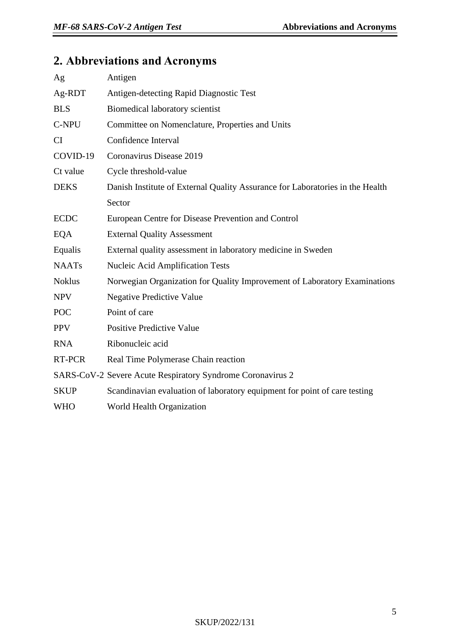# <span id="page-4-0"></span>**2. Abbreviations and Acronyms**

| Ag            | Antigen                                                                       |
|---------------|-------------------------------------------------------------------------------|
| Ag-RDT        | Antigen-detecting Rapid Diagnostic Test                                       |
| <b>BLS</b>    | Biomedical laboratory scientist                                               |
| C-NPU         | Committee on Nomenclature, Properties and Units                               |
| CI            | Confidence Interval                                                           |
| COVID-19      | Coronavirus Disease 2019                                                      |
| Ct value      | Cycle threshold-value                                                         |
| <b>DEKS</b>   | Danish Institute of External Quality Assurance for Laboratories in the Health |
|               | Sector                                                                        |
| <b>ECDC</b>   | European Centre for Disease Prevention and Control                            |
| <b>EQA</b>    | <b>External Quality Assessment</b>                                            |
| Equalis       | External quality assessment in laboratory medicine in Sweden                  |
| <b>NAATs</b>  | <b>Nucleic Acid Amplification Tests</b>                                       |
| <b>Noklus</b> | Norwegian Organization for Quality Improvement of Laboratory Examinations     |
| <b>NPV</b>    | <b>Negative Predictive Value</b>                                              |
| <b>POC</b>    | Point of care                                                                 |
| <b>PPV</b>    | <b>Positive Predictive Value</b>                                              |
| <b>RNA</b>    | Ribonucleic acid                                                              |
| RT-PCR        | Real Time Polymerase Chain reaction                                           |
|               | SARS-CoV-2 Severe Acute Respiratory Syndrome Coronavirus 2                    |
| <b>SKUP</b>   | Scandinavian evaluation of laboratory equipment for point of care testing     |
| <b>WHO</b>    | World Health Organization                                                     |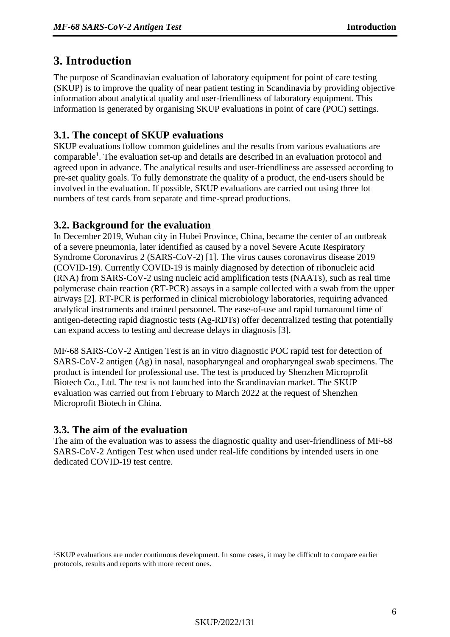# <span id="page-5-0"></span>**3. Introduction**

The purpose of Scandinavian evaluation of laboratory equipment for point of care testing (SKUP) is to improve the quality of near patient testing in Scandinavia by providing objective information about analytical quality and user-friendliness of laboratory equipment. This information is generated by organising SKUP evaluations in point of care (POC) settings.

## **3.1. The concept of SKUP evaluations**

SKUP evaluations follow common guidelines and the results from various evaluations are comparable<sup>1</sup>. The evaluation set-up and details are described in an evaluation protocol and agreed upon in advance. The analytical results and user-friendliness are assessed according to pre-set quality goals. To fully demonstrate the quality of a product, the end-users should be involved in the evaluation. If possible, SKUP evaluations are carried out using three lot numbers of test cards from separate and time-spread productions.

#### **3.2. Background for the evaluation**

In December 2019, Wuhan city in Hubei Province, China, became the center of an outbreak of a severe pneumonia, later identified as caused by a novel Severe Acute Respiratory Syndrome Coronavirus 2 (SARS-CoV-2) [\[1\]](#page-24-0). The virus causes coronavirus disease 2019 (COVID-19). Currently COVID-19 is mainly diagnosed by detection of ribonucleic acid (RNA) from SARS-CoV-2 using nucleic acid amplification tests (NAATs), such as real time polymerase chain reaction (RT-PCR) assays in a sample collected with a swab from the upper airways [\[2\]](#page-24-1). RT-PCR is performed in clinical microbiology laboratories, requiring advanced analytical instruments and trained personnel. The ease-of-use and rapid turnaround time of antigen-detecting rapid diagnostic tests (Ag-RDTs) offer decentralized testing that potentially can expand access to testing and decrease delays in diagnosis [\[3\]](#page-24-2).

MF-68 SARS-CoV-2 Antigen Test is an in vitro diagnostic POC rapid test for detection of SARS-CoV-2 antigen (Ag) in nasal, nasopharyngeal and oropharyngeal swab specimens. The product is intended for professional use. The test is produced by Shenzhen Microprofit Biotech Co., Ltd. The test is not launched into the Scandinavian market. The SKUP evaluation was carried out from February to March 2022 at the request of Shenzhen Microprofit Biotech in China.

#### **3.3. The aim of the evaluation**

The aim of the evaluation was to assess the diagnostic quality and user-friendliness of MF-68 SARS-CoV-2 Antigen Test when used under real-life conditions by intended users in one dedicated COVID-19 test centre.

<sup>1</sup>SKUP evaluations are under continuous development. In some cases, it may be difficult to compare earlier protocols, results and reports with more recent ones.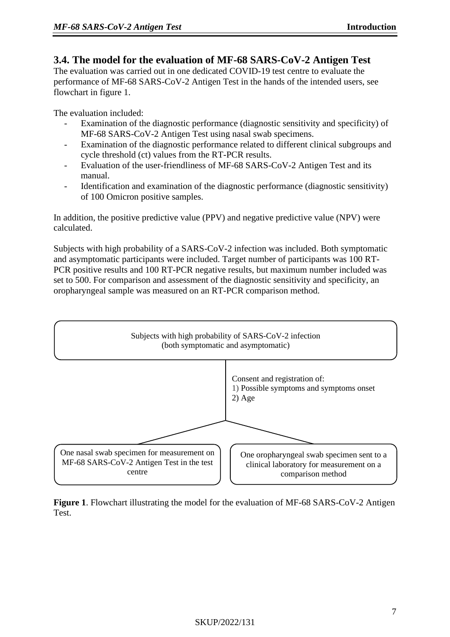## **3.4. The model for the evaluation of MF-68 SARS-CoV-2 Antigen Test**

The evaluation was carried out in one dedicated COVID-19 test centre to evaluate the performance of MF-68 SARS-CoV-2 Antigen Test in the hands of the intended users, see flowchart in figure 1.

The evaluation included:

- Examination of the diagnostic performance (diagnostic sensitivity and specificity) of MF-68 SARS-CoV-2 Antigen Test using nasal swab specimens.
- Examination of the diagnostic performance related to different clinical subgroups and cycle threshold (ct) values from the RT-PCR results.
- Evaluation of the user-friendliness of MF-68 SARS-CoV-2 Antigen Test and its manual.
- Identification and examination of the diagnostic performance (diagnostic sensitivity) of 100 Omicron positive samples.

In addition, the positive predictive value (PPV) and negative predictive value (NPV) were calculated.

Subjects with high probability of a SARS-CoV-2 infection was included. Both symptomatic and asymptomatic participants were included. Target number of participants was 100 RT-PCR positive results and 100 RT-PCR negative results, but maximum number included was set to 500. For comparison and assessment of the diagnostic sensitivity and specificity, an oropharyngeal sample was measured on an RT-PCR comparison method.



**Figure 1**. Flowchart illustrating the model for the evaluation of MF-68 SARS-CoV-2 Antigen Test.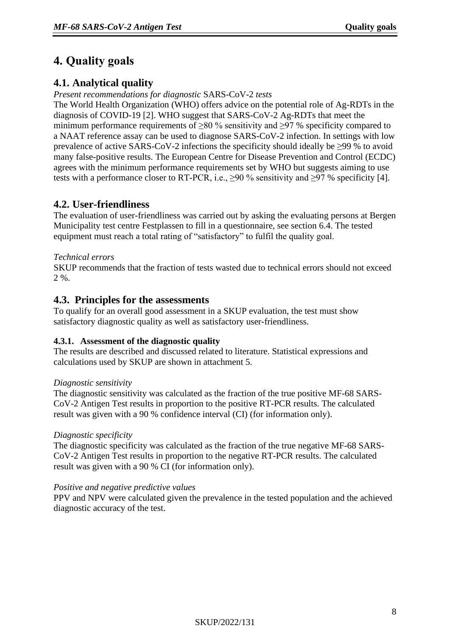# <span id="page-7-0"></span>**4. Quality goals**

# **4.1. Analytical quality**

*Present recommendations for diagnostic* SARS-CoV-2 *tests* 

The World Health Organization (WHO) offers advice on the potential role of Ag-RDTs in the diagnosis of COVID-19 [2]. WHO suggest that SARS-CoV-2 Ag-RDTs that meet the minimum performance requirements of ≥80 % sensitivity and ≥97 % specificity compared to a NAAT reference assay can be used to diagnose SARS-CoV-2 infection. In settings with low prevalence of active SARS-CoV-2 infections the specificity should ideally be ≥99 % to avoid many false-positive results. The European Centre for Disease Prevention and Control (ECDC) agrees with the minimum performance requirements set by WHO but suggests aiming to use tests with a performance closer to RT-PCR, i.e.,  $\geq$ 90 % sensitivity and  $\geq$ 97 % specificity [4].

# **4.2. User-friendliness**

The evaluation of user-friendliness was carried out by asking the evaluating persons at Bergen Municipality test centre Festplassen to fill in a questionnaire, see section 6.4. The tested equipment must reach a total rating of "satisfactory" to fulfil the quality goal.

#### *Technical errors*

SKUP recommends that the fraction of tests wasted due to technical errors should not exceed  $2 \%$ .

## **4.3. Principles for the assessments**

To qualify for an overall good assessment in a SKUP evaluation, the test must show satisfactory diagnostic quality as well as satisfactory user-friendliness.

#### **4.3.1. Assessment of the diagnostic quality**

The results are described and discussed related to literature. Statistical expressions and calculations used by SKUP are shown in attachment 5.

#### *Diagnostic sensitivity*

The diagnostic sensitivity was calculated as the fraction of the true positive MF-68 SARS-CoV-2 Antigen Test results in proportion to the positive RT-PCR results. The calculated result was given with a 90 % confidence interval (CI) (for information only).

#### *Diagnostic specificity*

The diagnostic specificity was calculated as the fraction of the true negative MF-68 SARS-CoV-2 Antigen Test results in proportion to the negative RT-PCR results. The calculated result was given with a 90 % CI (for information only).

#### *Positive and negative predictive values*

PPV and NPV were calculated given the prevalence in the tested population and the achieved diagnostic accuracy of the test.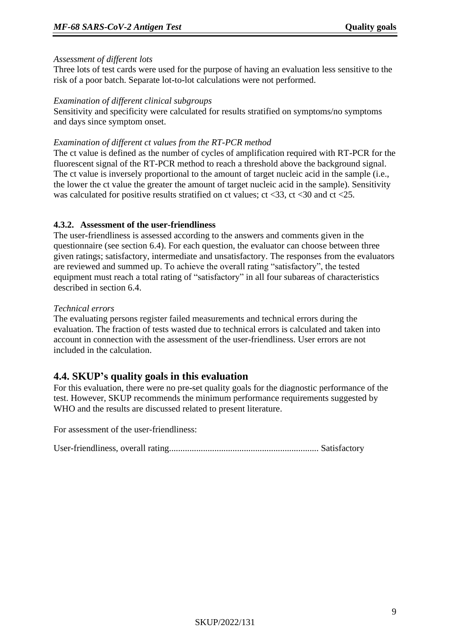#### *Assessment of different lots*

Three lots of test cards were used for the purpose of having an evaluation less sensitive to the risk of a poor batch. Separate lot-to-lot calculations were not performed.

#### *Examination of different clinical subgroups*

Sensitivity and specificity were calculated for results stratified on symptoms/no symptoms and days since symptom onset.

#### *Examination of different ct values from the RT-PCR method*

The ct value is defined as the number of cycles of amplification required with RT-PCR for the fluorescent signal of the RT-PCR method to reach a threshold above the background signal. The ct value is inversely proportional to the amount of target nucleic acid in the sample (i.e., the lower the ct value the greater the amount of target nucleic acid in the sample). Sensitivity was calculated for positive results stratified on ct values; ct <33, ct <30 and ct <25.

#### **4.3.2. Assessment of the user-friendliness**

The user-friendliness is assessed according to the answers and comments given in the questionnaire (see section 6.4). For each question, the evaluator can choose between three given ratings; satisfactory, intermediate and unsatisfactory. The responses from the evaluators are reviewed and summed up. To achieve the overall rating "satisfactory", the tested equipment must reach a total rating of "satisfactory" in all four subareas of characteristics described in section 6.4.

#### *Technical errors*

The evaluating persons register failed measurements and technical errors during the evaluation. The fraction of tests wasted due to technical errors is calculated and taken into account in connection with the assessment of the user-friendliness. User errors are not included in the calculation.

# **4.4. SKUP's quality goals in this evaluation**

For this evaluation, there were no pre-set quality goals for the diagnostic performance of the test. However, SKUP recommends the minimum performance requirements suggested by WHO and the results are discussed related to present literature.

For assessment of the user-friendliness:

User-friendliness, overall rating.................................................................. Satisfactory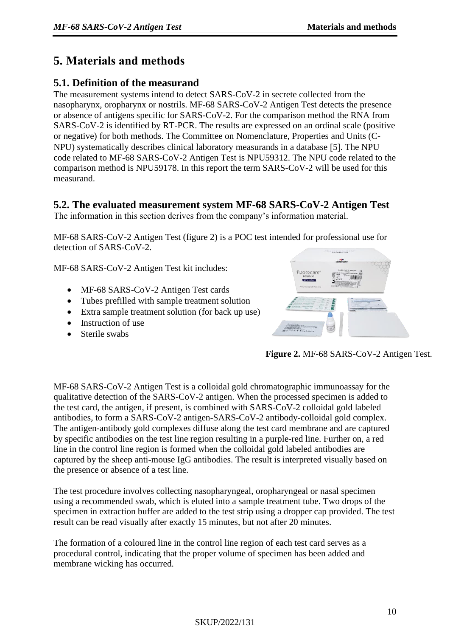# <span id="page-9-0"></span>**5. Materials and methods**

# **5.1. Definition of the measurand**

The measurement systems intend to detect SARS-CoV-2 in secrete collected from the nasopharynx, oropharynx or nostrils. MF-68 SARS-CoV-2 Antigen Test detects the presence or absence of antigens specific for SARS-CoV-2. For the comparison method the RNA from SARS-CoV-2 is identified by RT-PCR. The results are expressed on an ordinal scale (positive or negative) for both methods. The Committee on Nomenclature, Properties and Units (C-NPU) systematically describes clinical laboratory measurands in a database [5]. The NPU code related to MF-68 SARS-CoV-2 Antigen Test is NPU59312. The NPU code related to the comparison method is NPU59178. In this report the term SARS-CoV-2 will be used for this measurand.

# **5.2. The evaluated measurement system MF-68 SARS-CoV-2 Antigen Test**

The information in this section derives from the company's information material.

MF-68 SARS-CoV-2 Antigen Test (figure 2) is a POC test intended for professional use for detection of SARS-CoV-2.

MF-68 SARS-CoV-2 Antigen Test kit includes:

- MF-68 SARS-CoV-2 Antigen Test cards
- Tubes prefilled with sample treatment solution
- Extra sample treatment solution (for back up use)
- Instruction of use
- Sterile swabs



**Figure 2.** MF-68 SARS-CoV-2 Antigen Test.

MF-68 SARS-CoV-2 Antigen Test is a colloidal gold chromatographic immunoassay for the qualitative detection of the SARS-CoV-2 antigen. When the processed specimen is added to the test card, the antigen, if present, is combined with SARS-CoV-2 colloidal gold labeled antibodies, to form a SARS-CoV-2 antigen-SARS-CoV-2 antibody-colloidal gold complex. The antigen-antibody gold complexes diffuse along the test card membrane and are captured by specific antibodies on the test line region resulting in a purple-red line. Further on, a red line in the control line region is formed when the colloidal gold labeled antibodies are captured by the sheep anti-mouse IgG antibodies. The result is interpreted visually based on the presence or absence of a test line.

The test procedure involves collecting nasopharyngeal, oropharyngeal or nasal specimen using a recommended swab, which is eluted into a sample treatment tube. Two drops of the specimen in extraction buffer are added to the test strip using a dropper cap provided. The test result can be read visually after exactly 15 minutes, but not after 20 minutes.

The formation of a coloured line in the control line region of each test card serves as a procedural control, indicating that the proper volume of specimen has been added and membrane wicking has occurred.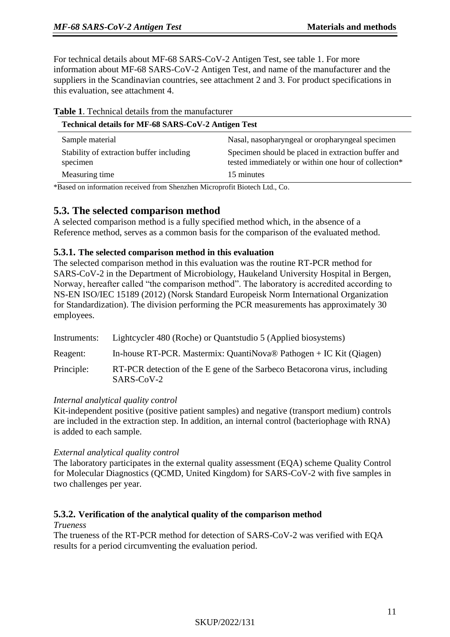**Table 1**. Technical details from the manufacturer

For technical details about MF-68 SARS-CoV-2 Antigen Test, see table 1. For more information about MF-68 SARS-CoV-2 Antigen Test, and name of the manufacturer and the suppliers in the Scandinavian countries, see attachment 2 and 3. For product specifications in this evaluation, see attachment 4.

| <b>Table 1.</b> Technical details from the manufacturer<br>Technical details for MF-68 SARS-CoV-2 Antigen Test |                                                                                                            |  |  |  |
|----------------------------------------------------------------------------------------------------------------|------------------------------------------------------------------------------------------------------------|--|--|--|
| Nasal, nasopharyngeal or oropharyngeal specimen<br>Sample material                                             |                                                                                                            |  |  |  |
| Stability of extraction buffer including<br>specimen                                                           | Specimen should be placed in extraction buffer and<br>tested immediately or within one hour of collection* |  |  |  |
| Measuring time                                                                                                 | 15 minutes                                                                                                 |  |  |  |

\*Based on information received from Shenzhen Microprofit Biotech Ltd., Co.

#### **5.3. The selected comparison method**

A selected comparison method is a fully specified method which, in the absence of a Reference method, serves as a common basis for the comparison of the evaluated method.

#### **5.3.1. The selected comparison method in this evaluation**

The selected comparison method in this evaluation was the routine RT-PCR method for SARS-CoV-2 in the Department of Microbiology, Haukeland University Hospital in Bergen, Norway, hereafter called "the comparison method". The laboratory is accredited according to NS-EN ISO/IEC 15189 (2012) (Norsk Standard Europeisk Norm International Organization for Standardization). The division performing the PCR measurements has approximately 30 employees.

| Instruments: | Lightcycler 480 (Roche) or Quantstudio 5 (Applied biosystems)                           |
|--------------|-----------------------------------------------------------------------------------------|
| Reagent:     | In-house RT-PCR. Mastermix: QuantiNova® Pathogen + IC Kit (Qiagen)                      |
| Principle:   | RT-PCR detection of the E gene of the Sarbeco Betacorona virus, including<br>SARS-CoV-2 |

#### *Internal analytical quality control*

Kit-independent positive (positive patient samples) and negative (transport medium) controls are included in the extraction step. In addition, an internal control (bacteriophage with RNA) is added to each sample.

#### *External analytical quality control*

The laboratory participates in the external quality assessment (EQA) scheme Quality Control for Molecular Diagnostics (QCMD, United Kingdom) for SARS-CoV-2 with five samples in two challenges per year.

#### **5.3.2. Verification of the analytical quality of the comparison method**

#### *Trueness*

The trueness of the RT-PCR method for detection of SARS-CoV-2 was verified with EQA results for a period circumventing the evaluation period.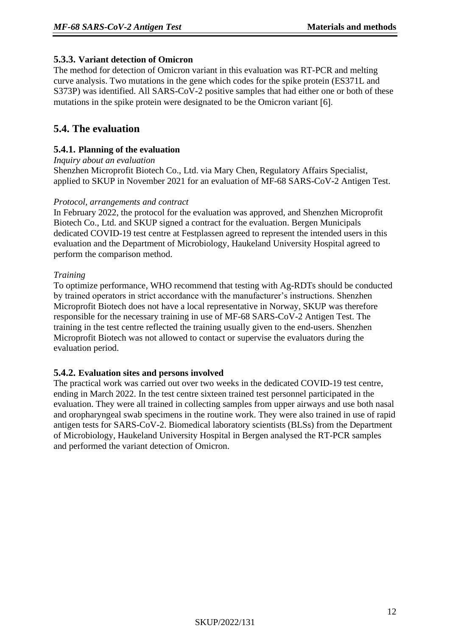#### **5.3.3. Variant detection of Omicron**

The method for detection of Omicron variant in this evaluation was RT-PCR and melting curve analysis. Two mutations in the gene which codes for the spike protein (ES371L and S373P) was identified. All SARS-CoV-2 positive samples that had either one or both of these mutations in the spike protein were designated to be the Omicron variant  $[6]$ .

# **5.4. The evaluation**

#### **5.4.1. Planning of the evaluation**

#### *Inquiry about an evaluation*

Shenzhen Microprofit Biotech Co., Ltd. via Mary Chen, Regulatory Affairs Specialist, applied to SKUP in November 2021 for an evaluation of MF-68 SARS-CoV-2 Antigen Test.

#### *Protocol, arrangements and contract*

In February 2022, the protocol for the evaluation was approved, and Shenzhen Microprofit Biotech Co., Ltd. and SKUP signed a contract for the evaluation. Bergen Municipals dedicated COVID-19 test centre at Festplassen agreed to represent the intended users in this evaluation and the Department of Microbiology, Haukeland University Hospital agreed to perform the comparison method.

#### *Training*

To optimize performance, WHO recommend that testing with Ag-RDTs should be conducted by trained operators in strict accordance with the manufacturer's instructions. Shenzhen Microprofit Biotech does not have a local representative in Norway, SKUP was therefore responsible for the necessary training in use of MF-68 SARS-CoV-2 Antigen Test. The training in the test centre reflected the training usually given to the end-users. Shenzhen Microprofit Biotech was not allowed to contact or supervise the evaluators during the evaluation period.

#### **5.4.2. Evaluation sites and persons involved**

The practical work was carried out over two weeks in the dedicated COVID-19 test centre, ending in March 2022. In the test centre sixteen trained test personnel participated in the evaluation. They were all trained in collecting samples from upper airways and use both nasal and oropharyngeal swab specimens in the routine work. They were also trained in use of rapid antigen tests for SARS-CoV-2. Biomedical laboratory scientists (BLSs) from the Department of Microbiology, Haukeland University Hospital in Bergen analysed the RT-PCR samples and performed the variant detection of Omicron.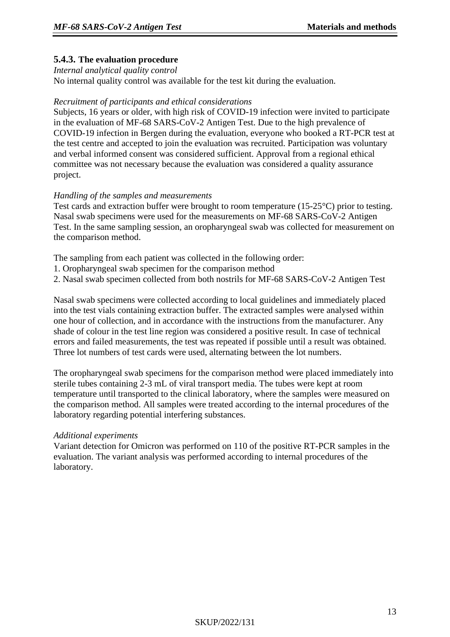#### **5.4.3. The evaluation procedure**

#### *Internal analytical quality control*

No internal quality control was available for the test kit during the evaluation.

#### *Recruitment of participants and ethical considerations*

Subjects, 16 years or older, with high risk of COVID-19 infection were invited to participate in the evaluation of MF-68 SARS-CoV-2 Antigen Test. Due to the high prevalence of COVID-19 infection in Bergen during the evaluation, everyone who booked a RT-PCR test at the test centre and accepted to join the evaluation was recruited. Participation was voluntary and verbal informed consent was considered sufficient. Approval from a regional ethical committee was not necessary because the evaluation was considered a quality assurance project.

#### *Handling of the samples and measurements*

Test cards and extraction buffer were brought to room temperature (15-25°C) prior to testing. Nasal swab specimens were used for the measurements on MF-68 SARS-CoV-2 Antigen Test. In the same sampling session, an oropharyngeal swab was collected for measurement on the comparison method.

The sampling from each patient was collected in the following order:

- 1. Oropharyngeal swab specimen for the comparison method
- 2. Nasal swab specimen collected from both nostrils for MF-68 SARS-CoV-2 Antigen Test

Nasal swab specimens were collected according to local guidelines and immediately placed into the test vials containing extraction buffer. The extracted samples were analysed within one hour of collection, and in accordance with the instructions from the manufacturer. Any shade of colour in the test line region was considered a positive result. In case of technical errors and failed measurements, the test was repeated if possible until a result was obtained. Three lot numbers of test cards were used, alternating between the lot numbers.

The oropharyngeal swab specimens for the comparison method were placed immediately into sterile tubes containing 2-3 mL of viral transport media. The tubes were kept at room temperature until transported to the clinical laboratory, where the samples were measured on the comparison method. All samples were treated according to the internal procedures of the laboratory regarding potential interfering substances.

#### *Additional experiments*

Variant detection for Omicron was performed on 110 of the positive RT-PCR samples in the evaluation. The variant analysis was performed according to internal procedures of the laboratory.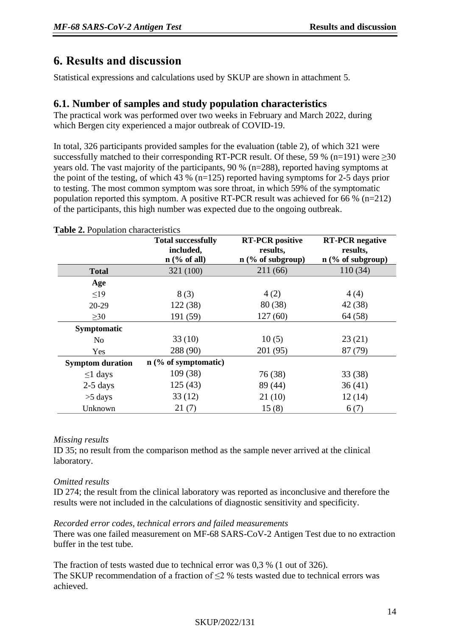# <span id="page-13-0"></span>**6. Results and discussion**

Statistical expressions and calculations used by SKUP are shown in attachment 5.

#### **6.1. Number of samples and study population characteristics**

The practical work was performed over two weeks in February and March 2022, during which Bergen city experienced a major outbreak of COVID-19.

In total, 326 participants provided samples for the evaluation (table 2), of which 321 were successfully matched to their corresponding RT-PCR result. Of these, 59 % (n=191) were  $>30$ years old. The vast majority of the participants, 90 % (n=288), reported having symptoms at the point of the testing, of which 43 % ( $n=125$ ) reported having symptoms for 2-5 days prior to testing. The most common symptom was sore throat, in which 59% of the symptomatic population reported this symptom. A positive RT-PCR result was achieved for 66 % (n=212) of the participants, this high number was expected due to the ongoing outbreak.

|                         | <b>Total successfully</b><br>included,<br>$n$ (% of all) | <b>RT-PCR</b> positive<br>results,<br>$n$ (% of subgroup) | <b>RT-PCR</b> negative<br>results,<br>$n$ (% of subgroup) |
|-------------------------|----------------------------------------------------------|-----------------------------------------------------------|-----------------------------------------------------------|
| <b>Total</b>            | 321 (100)                                                | 211 (66)                                                  | 110(34)                                                   |
| Age                     |                                                          |                                                           |                                                           |
| $\leq$ 19               | 8(3)                                                     | 4(2)                                                      | 4(4)                                                      |
| $20-29$                 | 122(38)                                                  | 80(38)                                                    | 42 (38)                                                   |
| $\geq 30$               | 191 (59)                                                 | 127(60)                                                   | 64(58)                                                    |
| Symptomatic             |                                                          |                                                           |                                                           |
| N <sub>0</sub>          | 33(10)                                                   | 10(5)                                                     | 23(21)                                                    |
| Yes                     | 288 (90)                                                 | 201 (95)                                                  | 87 (79)                                                   |
| <b>Symptom duration</b> | $n$ (% of symptomatic)                                   |                                                           |                                                           |
| $\leq 1$ days           | 109 (38)                                                 | 76 (38)                                                   | 33(38)                                                    |
| $2-5$ days              | 125(43)                                                  | 89 (44)                                                   | 36(41)                                                    |
| $>5$ days               | 33(12)                                                   | 21(10)                                                    | 12(14)                                                    |
| Unknown                 | 21(7)                                                    | 15(8)                                                     | 6(7)                                                      |

**Table 2.** Population characteristics

#### *Missing results*

ID 35; no result from the comparison method as the sample never arrived at the clinical laboratory.

#### *Omitted results*

ID 274; the result from the clinical laboratory was reported as inconclusive and therefore the results were not included in the calculations of diagnostic sensitivity and specificity.

#### *Recorded error codes, technical errors and failed measurements*

There was one failed measurement on MF-68 SARS-CoV-2 Antigen Test due to no extraction buffer in the test tube.

The fraction of tests wasted due to technical error was 0,3 % (1 out of 326). The SKUP recommendation of a fraction of ≤2 % tests wasted due to technical errors was achieved.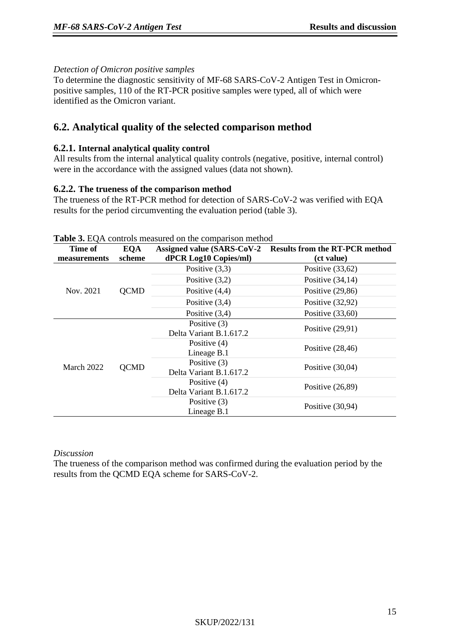#### *Detection of Omicron positive samples*

To determine the diagnostic sensitivity of MF-68 SARS-CoV-2 Antigen Test in Omicronpositive samples, 110 of the RT-PCR positive samples were typed, all of which were identified as the Omicron variant.

# **6.2. Analytical quality of the selected comparison method**

#### **6.2.1. Internal analytical quality control**

All results from the internal analytical quality controls (negative, positive, internal control) were in the accordance with the assigned values (data not shown).

#### **6.2.2. The trueness of the comparison method**

The trueness of the RT-PCR method for detection of SARS-CoV-2 was verified with EQA results for the period circumventing the evaluation period (table 3).

| Time of      | <b>EQA</b>  | <b>Assigned value (SARS-CoV-2)</b> | <b>Results from the RT-PCR method</b> |
|--------------|-------------|------------------------------------|---------------------------------------|
| measurements | scheme      | dPCR Log10 Copies/ml)              | (ct value)                            |
|              |             | Positive $(3,3)$                   | Positive $(33,62)$                    |
|              |             | Positive $(3,2)$                   | Positive $(34,14)$                    |
| Nov. 2021    | <b>QCMD</b> | Positive $(4,4)$                   | Positive $(29,86)$                    |
|              |             | Positive $(3,4)$                   | Positive $(32,92)$                    |
|              |             | Positive $(3,4)$                   | Positive $(33,60)$                    |
|              |             | Positive (3)                       | Positive $(29,91)$                    |
|              |             | Delta Variant B.1.617.2            |                                       |
|              |             | Positive $(4)$                     | Positive $(28, 46)$                   |
|              |             | Lineage B.1                        |                                       |
| March 2022   | <b>QCMD</b> | Positive (3)                       | Positive $(30,04)$                    |
|              |             | Delta Variant B.1.617.2            |                                       |
|              |             | Positive $(4)$                     |                                       |
|              |             | Delta Variant B.1.617.2            | Positive $(26,89)$                    |
|              |             | Positive $(3)$                     |                                       |
|              |             | Lineage B.1                        | Positive $(30,94)$                    |

#### **Table 3. EQA controls measured on the comparison method.**

#### *Discussion*

The trueness of the comparison method was confirmed during the evaluation period by the results from the QCMD EQA scheme for SARS-CoV-2.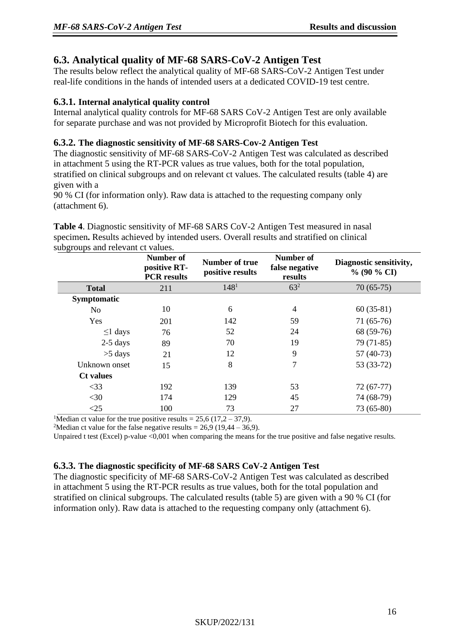# **6.3. Analytical quality of MF-68 SARS-CoV-2 Antigen Test**

The results below reflect the analytical quality of MF-68 SARS-CoV-2 Antigen Test under real-life conditions in the hands of intended users at a dedicated COVID-19 test centre.

#### **6.3.1. Internal analytical quality control**

Internal analytical quality controls for MF-68 SARS CoV-2 Antigen Test are only available for separate purchase and was not provided by Microprofit Biotech for this evaluation.

#### **6.3.2. The diagnostic sensitivity of MF-68 SARS-Cov-2 Antigen Test**

The diagnostic sensitivity of MF-68 SARS-CoV-2 Antigen Test was calculated as described in attachment 5 using the RT-PCR values as true values, both for the total population, stratified on clinical subgroups and on relevant ct values. The calculated results (table 4) are given with a

90 % CI (for information only). Raw data is attached to the requesting company only (attachment 6).

**Table 4**. Diagnostic sensitivity of MF-68 SARS CoV-2 Antigen Test measured in nasal specimen**.** Results achieved by intended users. Overall results and stratified on clinical subgroups and relevant ct values.

|                  | Number of<br>positive RT-<br><b>PCR</b> results | Number of true<br>positive results | Number of<br>false negative<br>results | Diagnostic sensitivity,<br>$\%$ (90 $\%$ CI) |
|------------------|-------------------------------------------------|------------------------------------|----------------------------------------|----------------------------------------------|
| <b>Total</b>     | 211                                             | 148 <sup>1</sup>                   | $63^{2}$                               | $70(65-75)$                                  |
| Symptomatic      |                                                 |                                    |                                        |                                              |
| N <sub>o</sub>   | 10                                              | 6                                  | 4                                      | $60(35-81)$                                  |
| Yes              | 201                                             | 142                                | 59                                     | $71(65-76)$                                  |
| $\leq$ 1 days    | 76                                              | 52                                 | 24                                     | 68 (59-76)                                   |
| $2-5$ days       | 89                                              | 70                                 | 19                                     | 79 (71-85)                                   |
| $>5$ days        | 21                                              | 12                                 | 9                                      | $57(40-73)$                                  |
| Unknown onset    | 15                                              | 8                                  | 7                                      | 53 (33-72)                                   |
| <b>Ct</b> values |                                                 |                                    |                                        |                                              |
| $<$ 33           | 192                                             | 139                                | 53                                     | $72(67-77)$                                  |
| $<$ 30           | 174                                             | 129                                | 45                                     | 74 (68-79)                                   |
| $\leq$ 25        | 100                                             | 73                                 | 27                                     | 73 (65-80)                                   |

<sup>1</sup>Median ct value for the true positive results =  $25,6$  (17,2 – 37,9).

<sup>2</sup>Median ct value for the false negative results =  $26.9$  (19,44 – 36,9).

Unpaired t test (Excel) p-value <0,001 when comparing the means for the true positive and false negative results.

#### **6.3.3. The diagnostic specificity of MF-68 SARS CoV-2 Antigen Test**

The diagnostic specificity of MF-68 SARS-CoV-2 Antigen Test was calculated as described in attachment 5 using the RT-PCR results as true values, both for the total population and stratified on clinical subgroups. The calculated results (table 5) are given with a 90 % CI (for information only). Raw data is attached to the requesting company only (attachment 6).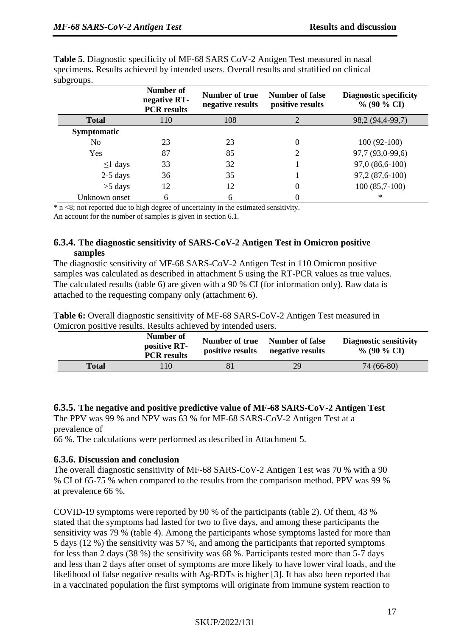| subgroups.         |                                                 |                                    |                                     |                                                 |
|--------------------|-------------------------------------------------|------------------------------------|-------------------------------------|-------------------------------------------------|
|                    | Number of<br>negative RT-<br><b>PCR</b> results | Number of true<br>negative results | Number of false<br>positive results | <b>Diagnostic specificity</b><br>$\%$ (90 % CI) |
| <b>Total</b>       | 110                                             | 108                                | $\overline{2}$                      | 98,2 (94,4-99,7)                                |
| <b>Symptomatic</b> |                                                 |                                    |                                     |                                                 |
| No                 | 23                                              | 23                                 | 0                                   | $100(92-100)$                                   |
| Yes                | 87                                              | 85                                 | 2                                   | 97,7 (93,0-99,6)                                |
| $\leq$ 1 days      | 33                                              | 32                                 |                                     | 97,0 (86,6-100)                                 |
| $2-5$ days         | 36                                              | 35                                 |                                     | 97,2 (87,6-100)                                 |
| $>5$ days          | 12                                              | 12                                 | 0                                   | $100(85,7-100)$                                 |
| Unknown onset      | 6                                               | 6                                  | 0                                   | $\ast$                                          |

**Table 5**. Diagnostic specificity of MF-68 SARS CoV-2 Antigen Test measured in nasal specimens. Results achieved by intended users. Overall results and stratified on clinical subgroups.

 $\overline{\text{A}}$  n <8; not reported due to high degree of uncertainty in the estimated sensitivity.

An account for the number of samples is given in section 6.1.

#### **6.3.4. The diagnostic sensitivity of SARS-CoV-2 Antigen Test in Omicron positive samples**

The diagnostic sensitivity of MF-68 SARS-CoV-2 Antigen Test in 110 Omicron positive samples was calculated as described in attachment 5 using the RT-PCR values as true values. The calculated results (table 6) are given with a 90 % CI (for information only). Raw data is attached to the requesting company only (attachment 6).

**Table 6:** Overall diagnostic sensitivity of MF-68 SARS-CoV-2 Antigen Test measured in Omicron positive results. Results achieved by intended users.

|              | Number of<br>positive RT-<br><b>PCR</b> results | Number of true<br>positive results | <b>Number of false</b><br>negative results | <b>Diagnostic sensitivity</b><br>% (90 % CI) |
|--------------|-------------------------------------------------|------------------------------------|--------------------------------------------|----------------------------------------------|
| <b>Total</b> | 10                                              |                                    | 29                                         | 74 (66-80)                                   |
|              |                                                 |                                    |                                            |                                              |

#### **6.3.5. The negative and positive predictive value of MF-68 SARS-CoV-2 Antigen Test**

The PPV was 99 % and NPV was 63 % for MF-68 SARS-CoV-2 Antigen Test at a prevalence of

66 %. The calculations were performed as described in Attachment 5.

#### **6.3.6. Discussion and conclusion**

The overall diagnostic sensitivity of MF-68 SARS-CoV-2 Antigen Test was 70 % with a 90 % CI of 65-75 % when compared to the results from the comparison method. PPV was 99 % at prevalence 66 %.

COVID-19 symptoms were reported by 90 % of the participants (table 2). Of them, 43 % stated that the symptoms had lasted for two to five days, and among these participants the sensitivity was 79 % (table 4). Among the participants whose symptoms lasted for more than 5 days (12 %) the sensitivity was 57 %, and among the participants that reported symptoms for less than 2 days (38 %) the sensitivity was 68 %. Participants tested more than 5-7 days and less than 2 days after onset of symptoms are more likely to have lower viral loads, and the likelihood of false negative results with Ag-RDTs is higher [3]. It has also been reported that in a vaccinated population the first symptoms will originate from immune system reaction to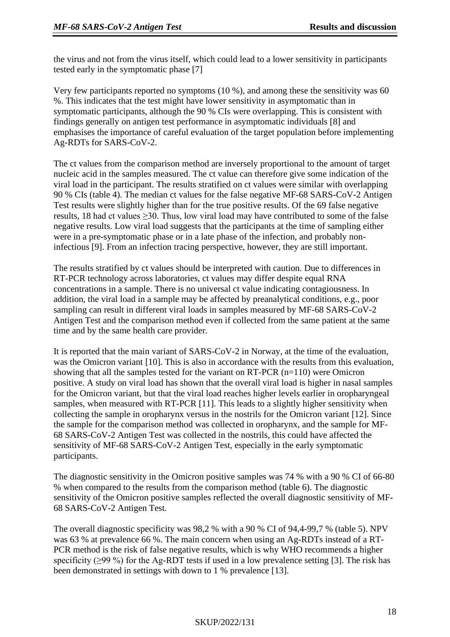the virus and not from the virus itself, which could lead to a lower sensitivity in participants tested early in the symptomatic phase [7]

Very few participants reported no symptoms (10 %), and among these the sensitivity was 60 %. This indicates that the test might have lower sensitivity in asymptomatic than in symptomatic participants, although the 90 % CIs were overlapping. This is consistent with findings generally on antigen test performance in asymptomatic individuals [8] and emphasises the importance of careful evaluation of the target population before implementing Ag-RDTs for SARS-CoV-2.

The ct values from the comparison method are inversely proportional to the amount of target nucleic acid in the samples measured. The ct value can therefore give some indication of the viral load in the participant. The results stratified on ct values were similar with overlapping 90 % CIs (table 4). The median ct values for the false negative MF-68 SARS-CoV-2 Antigen Test results were slightly higher than for the true positive results. Of the 69 false negative results, 18 had ct values  $\geq$ 30. Thus, low viral load may have contributed to some of the false negative results. Low viral load suggests that the participants at the time of sampling either were in a pre-symptomatic phase or in a late phase of the infection, and probably noninfectious [9]. From an infection tracing perspective, however, they are still important.

The results stratified by ct values should be interpreted with caution. Due to differences in RT-PCR technology across laboratories, ct values may differ despite equal RNA concentrations in a sample. There is no universal ct value indicating contagiousness. In addition, the viral load in a sample may be affected by preanalytical conditions, e.g., poor sampling can result in different viral loads in samples measured by MF-68 SARS-CoV-2 Antigen Test and the comparison method even if collected from the same patient at the same time and by the same health care provider.

It is reported that the main variant of SARS-CoV-2 in Norway, at the time of the evaluation, was the Omicron variant [10]. This is also in accordance with the results from this evaluation, showing that all the samples tested for the variant on RT-PCR (n=110) were Omicron positive. A study on viral load has shown that the overall viral load is higher in nasal samples for the Omicron variant, but that the viral load reaches higher levels earlier in oropharyngeal samples, when measured with RT-PCR [11]. This leads to a slightly higher sensitivity when collecting the sample in oropharynx versus in the nostrils for the Omicron variant [12]. Since the sample for the comparison method was collected in oropharynx, and the sample for MF-68 SARS-CoV-2 Antigen Test was collected in the nostrils, this could have affected the sensitivity of MF-68 SARS-CoV-2 Antigen Test, especially in the early symptomatic participants.

The diagnostic sensitivity in the Omicron positive samples was 74 % with a 90 % CI of 66-80 % when compared to the results from the comparison method (table 6). The diagnostic sensitivity of the Omicron positive samples reflected the overall diagnostic sensitivity of MF-68 SARS-CoV-2 Antigen Test.

The overall diagnostic specificity was 98,2 % with a 90 % CI of 94,4-99,7 % (table 5). NPV was 63 % at prevalence 66 %. The main concern when using an Ag-RDTs instead of a RT-PCR method is the risk of false negative results, which is why WHO recommends a higher specificity ( $\geq$ 99 %) for the Ag-RDT tests if used in a low prevalence setting [3]. The risk has been demonstrated in settings with down to 1 % prevalence [13].

#### SKUP/2022/131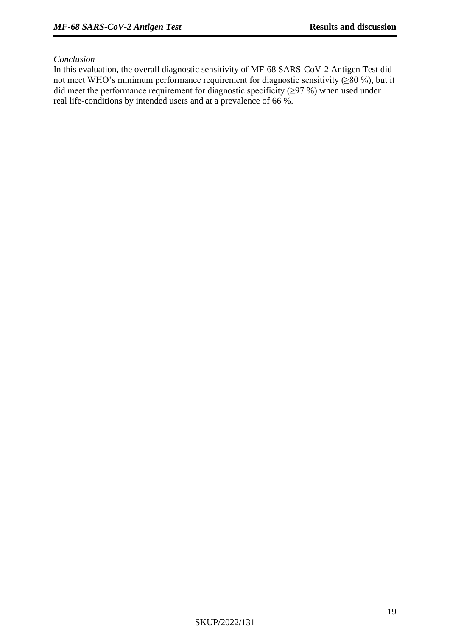#### *Conclusion*

In this evaluation, the overall diagnostic sensitivity of MF-68 SARS-CoV-2 Antigen Test did not meet WHO's minimum performance requirement for diagnostic sensitivity ( $\geq 80\%$ ), but it did meet the performance requirement for diagnostic specificity (≥97 %) when used under real life-conditions by intended users and at a prevalence of 66 %.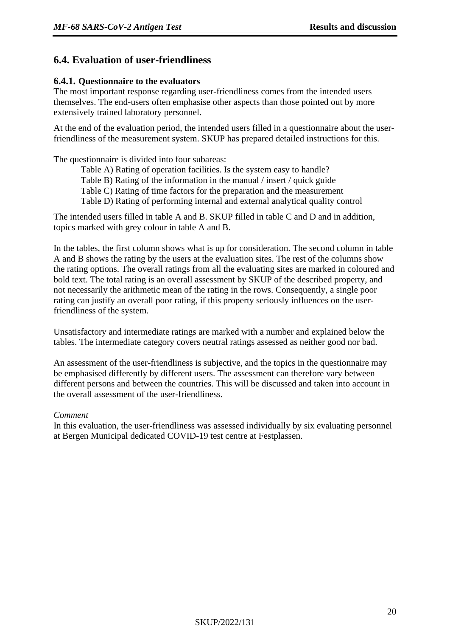#### **6.4. Evaluation of user-friendliness**

#### **6.4.1. Questionnaire to the evaluators**

The most important response regarding user-friendliness comes from the intended users themselves. The end-users often emphasise other aspects than those pointed out by more extensively trained laboratory personnel.

At the end of the evaluation period, the intended users filled in a questionnaire about the userfriendliness of the measurement system. SKUP has prepared detailed instructions for this.

The questionnaire is divided into four subareas:

Table A) Rating of operation facilities. Is the system easy to handle?

- Table B) Rating of the information in the manual / insert / quick guide
- Table C) Rating of time factors for the preparation and the measurement

Table D) Rating of performing internal and external analytical quality control

The intended users filled in table A and B. SKUP filled in table C and D and in addition, topics marked with grey colour in table A and B.

In the tables, the first column shows what is up for consideration. The second column in table A and B shows the rating by the users at the evaluation sites. The rest of the columns show the rating options. The overall ratings from all the evaluating sites are marked in coloured and bold text. The total rating is an overall assessment by SKUP of the described property, and not necessarily the arithmetic mean of the rating in the rows. Consequently, a single poor rating can justify an overall poor rating, if this property seriously influences on the userfriendliness of the system.

Unsatisfactory and intermediate ratings are marked with a number and explained below the tables. The intermediate category covers neutral ratings assessed as neither good nor bad.

An assessment of the user-friendliness is subjective, and the topics in the questionnaire may be emphasised differently by different users. The assessment can therefore vary between different persons and between the countries. This will be discussed and taken into account in the overall assessment of the user-friendliness.

#### *Comment*

In this evaluation, the user-friendliness was assessed individually by six evaluating personnel at Bergen Municipal dedicated COVID-19 test centre at Festplassen.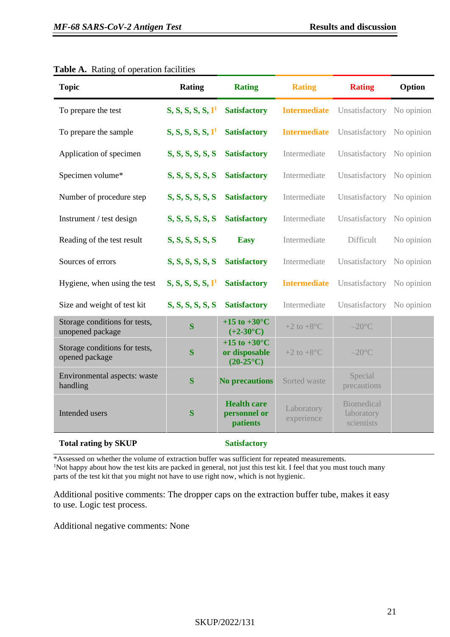| <b>Topic</b>                                      | Rating                        | <b>Rating</b>                                                  | <b>Rating</b>               | <b>Rating</b>                                 | Option     |
|---------------------------------------------------|-------------------------------|----------------------------------------------------------------|-----------------------------|-----------------------------------------------|------------|
| To prepare the test                               | S, S, S, S, S, I <sup>1</sup> | <b>Satisfactory</b>                                            | <b>Intermediate</b>         | Unsatisfactory                                | No opinion |
| To prepare the sample                             | S, S, S, S, S, I <sup>1</sup> | <b>Satisfactory</b>                                            | <b>Intermediate</b>         | Unsatisfactory No opinion                     |            |
| Application of specimen                           | S, S, S, S, S, S              | <b>Satisfactory</b>                                            | Intermediate                | Unsatisfactory No opinion                     |            |
| Specimen volume*                                  | S, S, S, S, S, S              | <b>Satisfactory</b>                                            | Intermediate                | Unsatisfactory                                | No opinion |
| Number of procedure step                          | S, S, S, S, S, S              | <b>Satisfactory</b>                                            | Intermediate                | Unsatisfactory                                | No opinion |
| Instrument / test design                          | S, S, S, S, S, S              | <b>Satisfactory</b>                                            | Intermediate                | Unsatisfactory No opinion                     |            |
| Reading of the test result                        | S, S, S, S, S, S              | <b>Easy</b>                                                    | Intermediate                | Difficult                                     | No opinion |
| Sources of errors                                 | S, S, S, S, S, S              | <b>Satisfactory</b>                                            | Intermediate                | Unsatisfactory                                | No opinion |
| Hygiene, when using the test                      | S, S, S, S, S, I <sup>1</sup> | <b>Satisfactory</b>                                            | <b>Intermediate</b>         | Unsatisfactory No opinion                     |            |
| Size and weight of test kit                       | S, S, S, S, S, S              | <b>Satisfactory</b>                                            | Intermediate                | Unsatisfactory No opinion                     |            |
| Storage conditions for tests,<br>unopened package | $\bf S$                       | +15 to +30 $^{\circ}$ C<br>$(+2-30^{\circ}C)$                  | $+2$ to $+8$ <sup>o</sup> C | $-20$ °C                                      |            |
| Storage conditions for tests,<br>opened package   | $\overline{\mathbf{S}}$       | +15 to +30 $^{\circ}$ C<br>or disposable<br>$(20-25\degree C)$ | +2 to $+8$ °C               | $-20$ °C                                      |            |
| Environmental aspects: waste<br>handling          | $\bf S$                       | <b>No precautions</b>                                          | Sorted waste                | Special<br>precautions                        |            |
| Intended users                                    | S                             | <b>Health care</b><br>personnel or<br>patients                 | Laboratory<br>experience    | <b>Biomedical</b><br>laboratory<br>scientists |            |
| <b>Total rating by SKUP</b>                       |                               | <b>Satisfactory</b>                                            |                             |                                               |            |

#### **Table A.** Rating of operation facilities

\*Assessed on whether the volume of extraction buffer was sufficient for repeated measurements. <sup>1</sup>Not happy about how the test kits are packed in general, not just this test kit. I feel that you must touch many parts of the test kit that you might not have to use right now, which is not hygienic.

Additional positive comments: The dropper caps on the extraction buffer tube, makes it easy to use. Logic test process.

Additional negative comments: None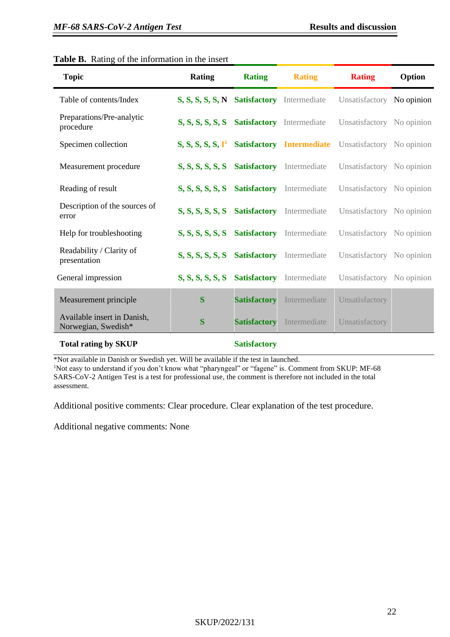| <b>Topic</b>                                       | <b>Rating</b>                              | <b>Rating</b>       | <b>Rating</b>                    | <b>Rating</b>             | Option |
|----------------------------------------------------|--------------------------------------------|---------------------|----------------------------------|---------------------------|--------|
| Table of contents/Index                            | S, S, S, S, S, N Satisfactory Intermediate |                     |                                  | Unsatisfactory No opinion |        |
| Preparations/Pre-analytic<br>procedure             | S, S, S, S, S, S Satisfactory Intermediate |                     |                                  | Unsatisfactory No opinion |        |
| Specimen collection                                | S, S, S, S, S, I <sup>1</sup>              |                     | <b>Satisfactory</b> Intermediate | Unsatisfactory No opinion |        |
| Measurement procedure                              | S, S, S, S, S, S Satisfactory Intermediate |                     |                                  | Unsatisfactory No opinion |        |
| Reading of result                                  | S, S, S, S, S, S Satisfactory Intermediate |                     |                                  | Unsatisfactory No opinion |        |
| Description of the sources of<br>error             | S, S, S, S, S, S Satisfactory Intermediate |                     |                                  | Unsatisfactory No opinion |        |
| Help for troubleshooting                           | S, S, S, S, S, S                           |                     | <b>Satisfactory</b> Intermediate | Unsatisfactory No opinion |        |
| Readability / Clarity of<br>presentation           | S, S, S, S, S, S                           | <b>Satisfactory</b> | Intermediate                     | Unsatisfactory No opinion |        |
| General impression                                 | S, S, S, S, S, S                           | <b>Satisfactory</b> | Intermediate                     | Unsatisfactory No opinion |        |
| Measurement principle                              | S                                          | <b>Satisfactory</b> | Intermediate                     | Unsatisfactory            |        |
| Available insert in Danish,<br>Norwegian, Swedish* | S                                          | <b>Satisfactory</b> | Intermediate                     | Unsatisfactory            |        |
| <b>Total rating by SKUP</b>                        |                                            | <b>Satisfactory</b> |                                  |                           |        |

#### **Table B.** Rating of the information in the insert

\*Not available in Danish or Swedish yet. Will be available if the test in launched.

<sup>1</sup>Not easy to understand if you don't know what "pharyngeal" or "fagene" is. Comment from SKUP: MF-68 SARS-CoV-2 Antigen Test is a test for professional use, the comment is therefore not included in the total assessment.

Additional positive comments: Clear procedure. Clear explanation of the test procedure.

Additional negative comments: None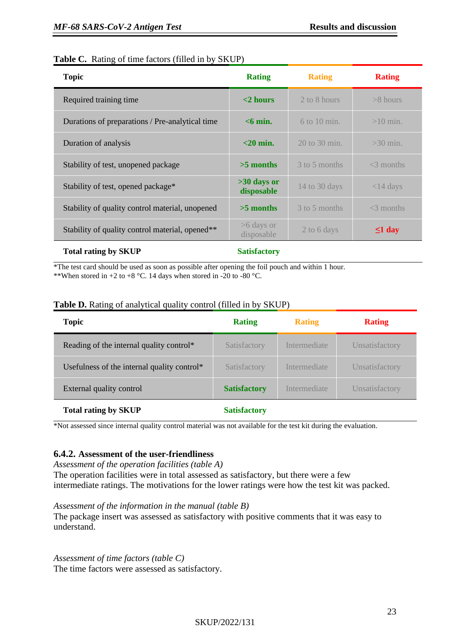#### **Table C.** Rating of time factors (filled in by SKUP)

| <b>Topic</b>                                    | <b>Rating</b>               | <b>Rating</b>     | <b>Rating</b> |
|-------------------------------------------------|-----------------------------|-------------------|---------------|
| Required training time                          | $<$ 2 hours                 | 2 to 8 hours      | $>8$ hours    |
| Durations of preparations / Pre-analytical time | $<$ 6 min.                  | $6$ to 10 min.    | $>10$ min.    |
| Duration of analysis                            | $<$ 20 min.                 | $20$ to $30$ min. | $>30$ min.    |
| Stability of test, unopened package             | $>5$ months                 | 3 to 5 months     | $<$ 3 months  |
| Stability of test, opened package*              | $>30$ days or<br>disposable | 14 to 30 days     | $<$ 14 days   |
| Stability of quality control material, unopened | $>5$ months                 | 3 to 5 months     | $<$ 3 months  |
| Stability of quality control material, opened** | $>6$ days or<br>disposable  | 2 to 6 days       | $\leq 1$ day  |
|                                                 |                             |                   |               |

\*The test card should be used as soon as possible after opening the foil pouch and within 1 hour.

\*\*When stored in +2 to +8 °C. 14 days when stored in -20 to -80 °C.

|  |  | <b>Table D.</b> Rating of analytical quality control (filled in by SKUP) |  |  |  |
|--|--|--------------------------------------------------------------------------|--|--|--|
|  |  |                                                                          |  |  |  |

| <b>Topic</b>                                | <b>Rating</b>       | <b>Rating</b> | <b>Rating</b>  |
|---------------------------------------------|---------------------|---------------|----------------|
| Reading of the internal quality control*    | Satisfactory        | Intermediate  | Unsatisfactory |
| Usefulness of the internal quality control* | Satisfactory        | Intermediate  | Unsatisfactory |
| External quality control                    | <b>Satisfactory</b> | Intermediate  | Unsatisfactory |
| <b>Total rating by SKUP</b>                 | <b>Satisfactory</b> |               |                |

\*Not assessed since internal quality control material was not available for the test kit during the evaluation.

#### **6.4.2. Assessment of the user-friendliness**

*Assessment of the operation facilities (table A)*

The operation facilities were in total assessed as satisfactory, but there were a few intermediate ratings. The motivations for the lower ratings were how the test kit was packed.

#### *Assessment of the information in the manual (table B)*

The package insert was assessed as satisfactory with positive comments that it was easy to understand.

*Assessment of time factors (table C)* The time factors were assessed as satisfactory.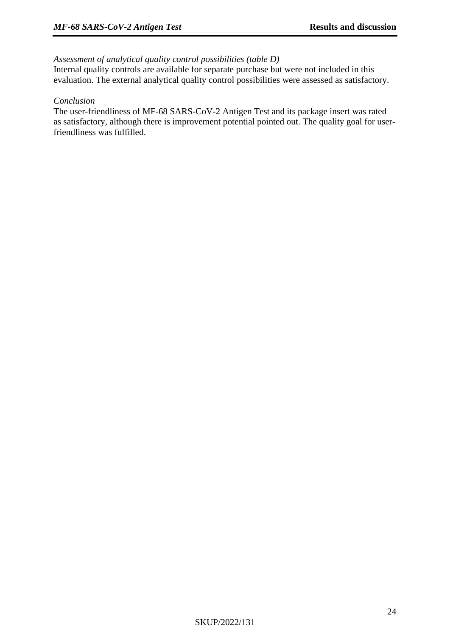#### *Assessment of analytical quality control possibilities (table D)*

Internal quality controls are available for separate purchase but were not included in this evaluation. The external analytical quality control possibilities were assessed as satisfactory.

#### *Conclusion*

The user-friendliness of MF-68 SARS-CoV-2 Antigen Test and its package insert was rated as satisfactory, although there is improvement potential pointed out. The quality goal for userfriendliness was fulfilled.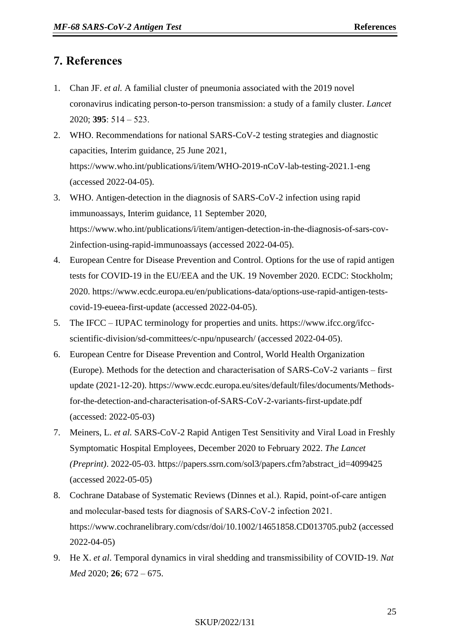## <span id="page-24-3"></span>**7. References**

- <span id="page-24-0"></span>1. Chan JF. *et al.* A familial cluster of pneumonia associated with the 2019 novel coronavirus indicating person-to-person transmission: a study of a family cluster. *Lancet* 2020; **395**: 514 ‒ 523.
- <span id="page-24-1"></span>2. WHO. Recommendations for national SARS-CoV-2 testing strategies and diagnostic capacities, Interim guidance, 25 June 2021, https://www.who.int/publications/i/item/WHO-2019-nCoV-lab-testing-2021.1-eng (accessed 2022-04-05).
- <span id="page-24-2"></span>3. WHO. Antigen-detection in the diagnosis of SARS-CoV-2 infection using rapid immunoassays, Interim guidance, 11 September 2020, https://www.who.int/publications/i/item/antigen-detection-in-the-diagnosis-of-sars-cov-2infection-using-rapid-immunoassays (accessed 2022-04-05).
- 4. European Centre for Disease Prevention and Control. Options for the use of rapid antigen tests for COVID-19 in the EU/EEA and the UK. 19 November 2020. ECDC: Stockholm; 2020. https://www.ecdc.europa.eu/en/publications-data/options-use-rapid-antigen-testscovid-19-eueea-first-update (accessed 2022-04-05).
- 5. The IFCC IUPAC terminology for properties and units. https://www.ifcc.org/ifccscientific-division/sd-committees/c-npu/npusearch/ (accessed 2022-04-05).
- 6. European Centre for Disease Prevention and Control, World Health Organization (Europe). Methods for the detection and characterisation of SARS-CoV-2 variants – first update (2021-12-20). https://www.ecdc.europa.eu/sites/default/files/documents/Methodsfor-the-detection-and-characterisation-of-SARS-CoV-2-variants-first-update.pdf (accessed: 2022-05-03)
- 7. Meiners, L. *et al.* SARS-CoV-2 Rapid Antigen Test Sensitivity and Viral Load in Freshly Symptomatic Hospital Employees, December 2020 to February 2022. *The Lancet (Preprint)*. 2022-05-03. https://papers.ssrn.com/sol3/papers.cfm?abstract\_id=4099425 (accessed 2022-05-05)
- 8. Cochrane Database of Systematic Reviews (Dinnes et al.). Rapid, point‐of‐care antigen and molecular‐based tests for diagnosis of SARS‐CoV‐2 infection 2021. https://www.cochranelibrary.com/cdsr/doi/10.1002/14651858.CD013705.pub2 (accessed 2022-04-05)
- 9. He X. *et al*. Temporal dynamics in viral shedding and transmissibility of COVID-19. *Nat Med* 2020; **26**; 672 – 675.

#### SKUP/2022/131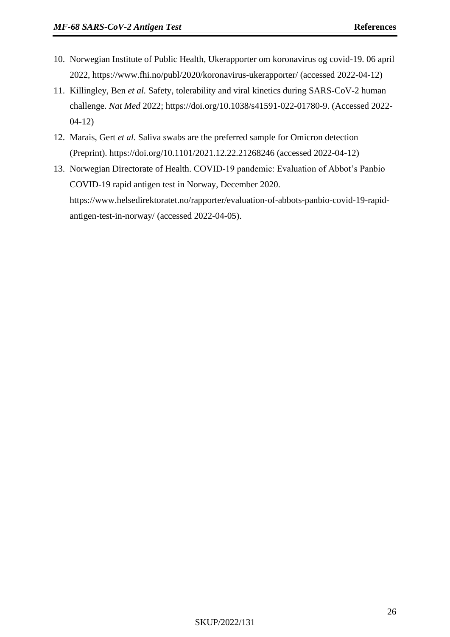- 10. Norwegian Institute of Public Health, Ukerapporter om koronavirus og covid-19. 06 april 2022, https://www.fhi.no/publ/2020/koronavirus-ukerapporter/ (accessed 2022-04-12)
- 11. Killingley, Ben *et al.* Safety, tolerability and viral kinetics during SARS-CoV-2 human challenge. *Nat Med* 2022; https://doi.org/10.1038/s41591-022-01780-9. (Accessed 2022- 04-12)
- 12. Marais, Gert *et al*. Saliva swabs are the preferred sample for Omicron detection (Preprint). https://doi.org/10.1101/2021.12.22.21268246 (accessed 2022-04-12)
- 13. Norwegian Directorate of Health. COVID-19 pandemic: Evaluation of Abbot's Panbio COVID-19 rapid antigen test in Norway, December 2020. https://www.helsedirektoratet.no/rapporter/evaluation-of-abbots-panbio-covid-19-rapidantigen-test-in-norway/ (accessed 2022-04-05).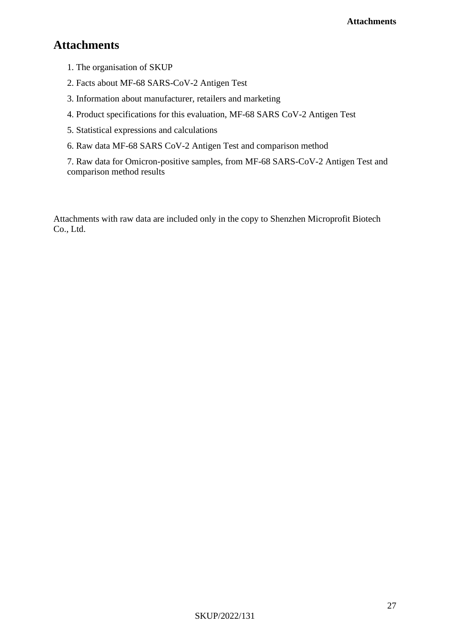# **Attachments**

- 1. The organisation of SKUP
- 2. Facts about MF-68 SARS-CoV-2 Antigen Test
- 3. Information about manufacturer, retailers and marketing
- 4. Product specifications for this evaluation, MF-68 SARS CoV-2 Antigen Test
- 5. Statistical expressions and calculations
- 6. Raw data MF-68 SARS CoV-2 Antigen Test and comparison method

7. Raw data for Omicron-positive samples, from MF-68 SARS-CoV-2 Antigen Test and comparison method results

Attachments with raw data are included only in the copy to Shenzhen Microprofit Biotech Co., Ltd.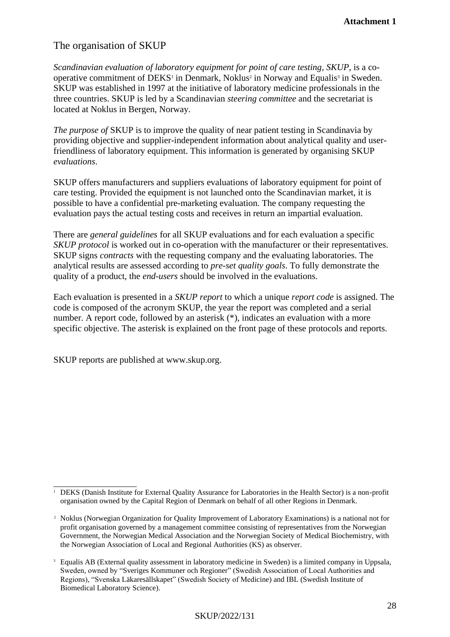## The organisation of SKUP

*Scandinavian evaluation of laboratory equipment for point of care testing*, *SKUP*, is a cooperative commitment of DEKS<sup>1</sup> in Denmark, Noklus<sup>2</sup> in Norway and Equalis<sup>3</sup> in Sweden. SKUP was established in 1997 at the initiative of laboratory medicine professionals in the three countries. SKUP is led by a Scandinavian *steering committee* and the secretariat is located at Noklus in Bergen, Norway.

*The purpose of* SKUP is to improve the quality of near patient testing in Scandinavia by providing objective and supplier-independent information about analytical quality and userfriendliness of laboratory equipment. This information is generated by organising SKUP *evaluations*.

SKUP offers manufacturers and suppliers evaluations of laboratory equipment for point of care testing. Provided the equipment is not launched onto the Scandinavian market, it is possible to have a confidential pre-marketing evaluation. The company requesting the evaluation pays the actual testing costs and receives in return an impartial evaluation.

There are *general guidelines* for all SKUP evaluations and for each evaluation a specific *SKUP protocol* is worked out in co-operation with the manufacturer or their representatives. SKUP signs *contracts* with the requesting company and the evaluating laboratories. The analytical results are assessed according to *pre-set quality goals*. To fully demonstrate the quality of a product, the *end-users* should be involved in the evaluations.

Each evaluation is presented in a *SKUP report* to which a unique *report code* is assigned. The code is composed of the acronym SKUP, the year the report was completed and a serial number. A report code, followed by an asterisk (\*), indicates an evaluation with a more specific objective. The asterisk is explained on the front page of these protocols and reports.

SKUP reports are published at www.skup.org.

\_\_\_\_\_\_\_\_\_\_\_\_\_\_\_\_\_\_\_\_ <sup>1</sup> DEKS (Danish Institute for External Quality Assurance for Laboratories in the Health Sector) is a non-profit organisation owned by the Capital Region of Denmark on behalf of all other Regions in Denmark.

<sup>2</sup> Noklus (Norwegian Organization for Quality Improvement of Laboratory Examinations) is a national not for profit organisation governed by a management committee consisting of representatives from the Norwegian Government, the Norwegian Medical Association and the Norwegian Society of Medical Biochemistry, with the Norwegian Association of Local and Regional Authorities (KS) as observer.

<sup>3</sup> Equalis AB (External quality assessment in laboratory medicine in Sweden) is a limited company in Uppsala, Sweden, owned by "Sveriges Kommuner och Regioner" (Swedish Association of Local Authorities and Regions), "Svenska Läkaresällskapet" (Swedish Society of Medicine) and IBL (Swedish Institute of Biomedical Laboratory Science).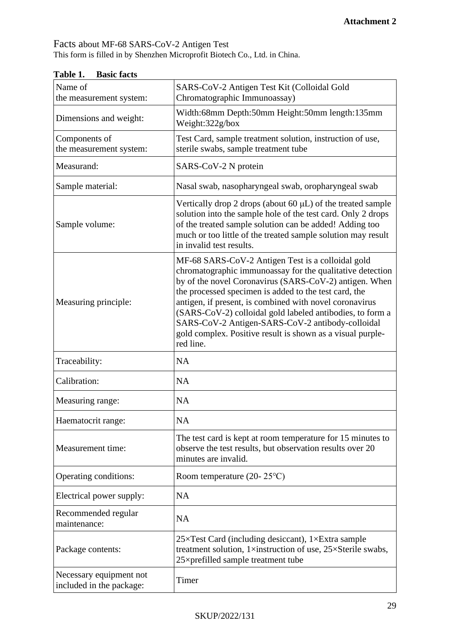Facts about MF-68 SARS-CoV-2 Antigen Test This form is filled in by Shenzhen Microprofit Biotech Co., Ltd. in China.

| 1 аше 1.<br>Dasit facts                             |                                                                                                                                                                                                                                                                                                                                                                                                                                                                                          |
|-----------------------------------------------------|------------------------------------------------------------------------------------------------------------------------------------------------------------------------------------------------------------------------------------------------------------------------------------------------------------------------------------------------------------------------------------------------------------------------------------------------------------------------------------------|
| Name of<br>the measurement system:                  | SARS-CoV-2 Antigen Test Kit (Colloidal Gold<br>Chromatographic Immunoassay)                                                                                                                                                                                                                                                                                                                                                                                                              |
| Dimensions and weight:                              | Width:68mm Depth:50mm Height:50mm length:135mm<br>Weight:322g/box                                                                                                                                                                                                                                                                                                                                                                                                                        |
| Components of<br>the measurement system:            | Test Card, sample treatment solution, instruction of use,<br>sterile swabs, sample treatment tube                                                                                                                                                                                                                                                                                                                                                                                        |
| Measurand:                                          | SARS-CoV-2 N protein                                                                                                                                                                                                                                                                                                                                                                                                                                                                     |
| Sample material:                                    | Nasal swab, nasopharyngeal swab, oropharyngeal swab                                                                                                                                                                                                                                                                                                                                                                                                                                      |
| Sample volume:                                      | Vertically drop 2 drops (about 60 µL) of the treated sample<br>solution into the sample hole of the test card. Only 2 drops<br>of the treated sample solution can be added! Adding too<br>much or too little of the treated sample solution may result<br>in invalid test results.                                                                                                                                                                                                       |
| Measuring principle:                                | MF-68 SARS-CoV-2 Antigen Test is a colloidal gold<br>chromatographic immunoassay for the qualitative detection<br>by of the novel Coronavirus (SARS-CoV-2) antigen. When<br>the processed specimen is added to the test card, the<br>antigen, if present, is combined with novel coronavirus<br>(SARS-CoV-2) colloidal gold labeled antibodies, to form a<br>SARS-CoV-2 Antigen-SARS-CoV-2 antibody-colloidal<br>gold complex. Positive result is shown as a visual purple-<br>red line. |
| Traceability:                                       | <b>NA</b>                                                                                                                                                                                                                                                                                                                                                                                                                                                                                |
| Calibration:                                        | <b>NA</b>                                                                                                                                                                                                                                                                                                                                                                                                                                                                                |
| Measuring range:                                    | <b>NA</b>                                                                                                                                                                                                                                                                                                                                                                                                                                                                                |
| Haematocrit range:                                  | <b>NA</b>                                                                                                                                                                                                                                                                                                                                                                                                                                                                                |
| Measurement time:                                   | The test card is kept at room temperature for 15 minutes to<br>observe the test results, but observation results over 20<br>minutes are invalid.                                                                                                                                                                                                                                                                                                                                         |
| Operating conditions:                               | Room temperature $(20-25\textdegree C)$                                                                                                                                                                                                                                                                                                                                                                                                                                                  |
| Electrical power supply:                            | <b>NA</b>                                                                                                                                                                                                                                                                                                                                                                                                                                                                                |
| Recommended regular<br>maintenance:                 | <b>NA</b>                                                                                                                                                                                                                                                                                                                                                                                                                                                                                |
| Package contents:                                   | $25 \times$ Test Card (including desiccant), 1×Extra sample<br>treatment solution, 1xinstruction of use, 25×Sterile swabs,<br>25×prefilled sample treatment tube                                                                                                                                                                                                                                                                                                                         |
| Necessary equipment not<br>included in the package: | Timer                                                                                                                                                                                                                                                                                                                                                                                                                                                                                    |

**Table 1. Basic facts**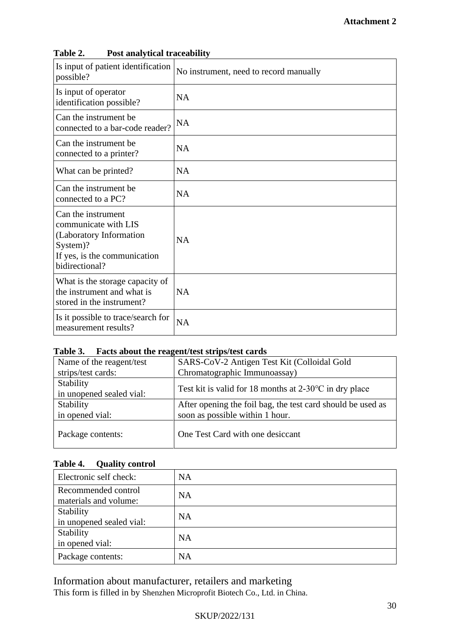| Laviv 2.<br>1 ost anary ticar traccabinty                                                                                           |                                        |
|-------------------------------------------------------------------------------------------------------------------------------------|----------------------------------------|
| Is input of patient identification<br>possible?                                                                                     | No instrument, need to record manually |
| Is input of operator<br>identification possible?                                                                                    | <b>NA</b>                              |
| Can the instrument be<br>connected to a bar-code reader?                                                                            | <b>NA</b>                              |
| Can the instrument be.<br>connected to a printer?                                                                                   | <b>NA</b>                              |
| What can be printed?                                                                                                                | <b>NA</b>                              |
| Can the instrument be<br>connected to a PC?                                                                                         | <b>NA</b>                              |
| Can the instrument<br>communicate with LIS<br>(Laboratory Information<br>System)?<br>If yes, is the communication<br>bidirectional? | <b>NA</b>                              |
| What is the storage capacity of<br>the instrument and what is<br>stored in the instrument?                                          | <b>NA</b>                              |
| Is it possible to trace/search for<br>measurement results?                                                                          | <b>NA</b>                              |

#### **Table 2. Post analytical traceability**

#### **Table 3. Facts about the reagent/test strips/test cards**

| Name of the reagent/test | SARS-CoV-2 Antigen Test Kit (Colloidal Gold                      |  |  |
|--------------------------|------------------------------------------------------------------|--|--|
| strips/test cards:       | Chromatographic Immunoassay)                                     |  |  |
| Stability                |                                                                  |  |  |
| in unopened sealed vial: | Test kit is valid for 18 months at $2-30^{\circ}$ C in dry place |  |  |
| Stability                | After opening the foil bag, the test card should be used as      |  |  |
| in opened vial:          | soon as possible within 1 hour.                                  |  |  |
| Package contents:        | One Test Card with one desiccant                                 |  |  |

### **Table 4. Quality control**

| Electronic self check:                       | <b>NA</b> |
|----------------------------------------------|-----------|
| Recommended control<br>materials and volume: | <b>NA</b> |
| Stability<br>in unopened sealed vial:        | <b>NA</b> |
| Stability<br>in opened vial:                 | <b>NA</b> |
| Package contents:                            | <b>NA</b> |

Information about manufacturer, retailers and marketing This form is filled in by Shenzhen Microprofit Biotech Co., Ltd. in China.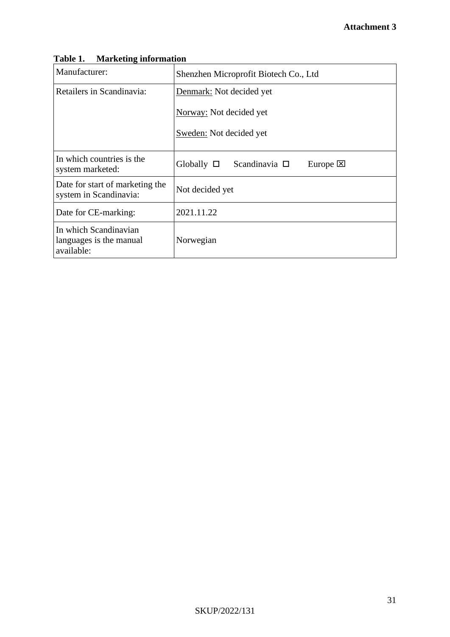| Table 1. Marketing information                                 |                                                          |  |  |  |
|----------------------------------------------------------------|----------------------------------------------------------|--|--|--|
| Manufacturer:                                                  | Shenzhen Microprofit Biotech Co., Ltd                    |  |  |  |
| Retailers in Scandinavia:                                      | Denmark: Not decided yet                                 |  |  |  |
|                                                                | Norway: Not decided yet                                  |  |  |  |
|                                                                | Sweden: Not decided yet                                  |  |  |  |
| In which countries is the<br>system marketed:                  | Globally $\square$ Scandinavia $\square$<br>Europe $[×]$ |  |  |  |
| Date for start of marketing the<br>system in Scandinavia:      | Not decided yet                                          |  |  |  |
| Date for CE-marking:                                           | 2021.11.22                                               |  |  |  |
| In which Scandinavian<br>languages is the manual<br>available: | Norwegian                                                |  |  |  |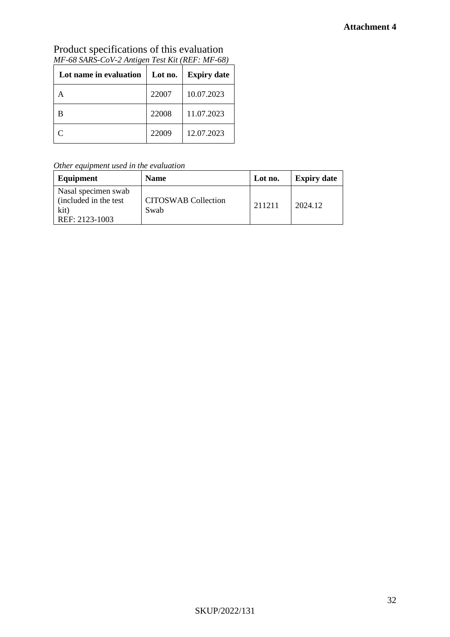#### **Attachment 4**

| Lot name in evaluation | Lot no. | <b>Expiry date</b> |
|------------------------|---------|--------------------|
|                        | 22007   | 10.07.2023         |
|                        | 22008   | 11.07.2023         |
|                        | 22009   | 12.07.2023         |

Product specifications of this evaluation *MF-68 SARS-CoV-2 Antigen Test Kit (REF: MF-68)*

*Other equipment used in the evaluation*

| Equipment                                                               | <b>Name</b>                        | Lot no. | <b>Expiry date</b> |
|-------------------------------------------------------------------------|------------------------------------|---------|--------------------|
| Nasal specimen swab<br>(included in the test)<br>kit)<br>REF: 2123-1003 | <b>CITOSWAB Collection</b><br>Swab | 211211  | 2024.12            |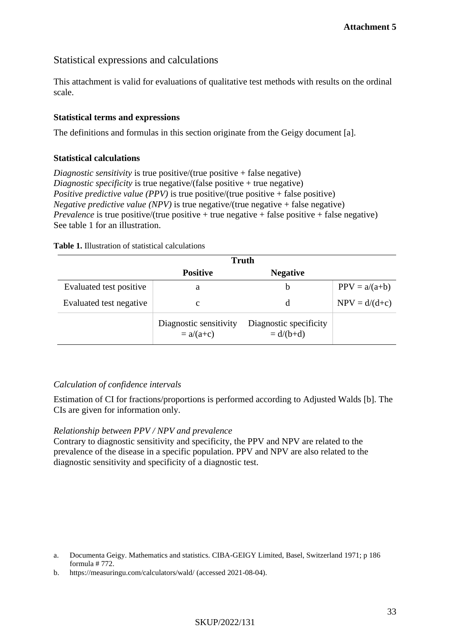#### Statistical expressions and calculations

This attachment is valid for evaluations of qualitative test methods with results on the ordinal scale.

#### **Statistical terms and expressions**

The definitions and formulas in this section originate from the Geigy document [a].

#### **Statistical calculations**

*Diagnostic sensitivity* is true positive/(true positive + false negative) *Diagnostic specificity* is true negative/(false positive + true negative) *Positive predictive value (PPV)* is true positive/(true positive + false positive) *Negative predictive value (NPV)* is true negative/(true negative + false negative) *Prevalence* is true positive/(true positive + true negative + false positive + false negative) See table 1 for an illustration.

|  |  | <b>Table 1.</b> Illustration of statistical calculations |  |
|--|--|----------------------------------------------------------|--|
|--|--|----------------------------------------------------------|--|

|                         | <b>Truth</b>                          |                                       |                 |
|-------------------------|---------------------------------------|---------------------------------------|-----------------|
|                         | <b>Positive</b>                       | <b>Negative</b>                       |                 |
| Evaluated test positive | a                                     | b                                     | $PPV = a/(a+b)$ |
| Evaluated test negative | с                                     | d                                     | $NPV = d/(d+c)$ |
|                         | Diagnostic sensitivity<br>$= a/(a+c)$ | Diagnostic specificity<br>$= d/(b+d)$ |                 |

#### *Calculation of confidence intervals*

Estimation of CI for fractions/proportions is performed according to Adjusted Walds [b]. The CIs are given for information only.

#### *Relationship between PPV / NPV and prevalence*

Contrary to diagnostic sensitivity and specificity, the PPV and NPV are related to the prevalence of the disease in a specific population. PPV and NPV are also related to the diagnostic sensitivity and specificity of a diagnostic test.

a. Documenta Geigy. Mathematics and statistics. CIBA-GEIGY Limited, Basel, Switzerland 1971; p 186 formula # 772.

b. https://measuringu.com/calculators/wald/ (accessed 2021-08-04).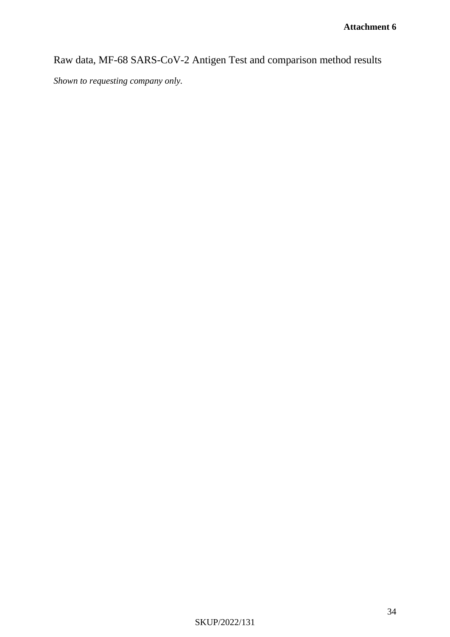Raw data, MF-68 SARS-CoV-2 Antigen Test and comparison method results

*Shown to requesting company only.*